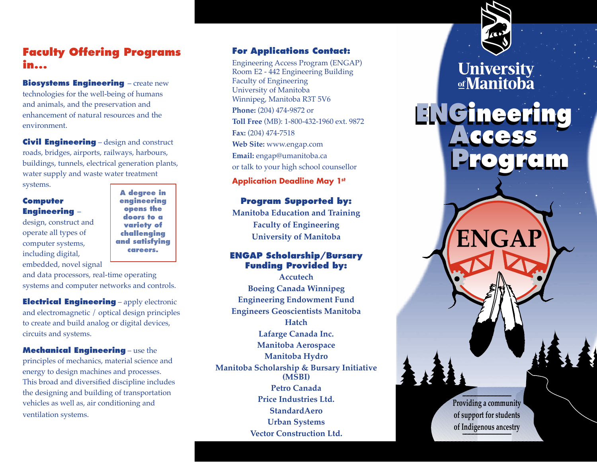# **Faculty Offering Programs in...**

**Biosystems Engineering – create new** technologies for the well-being of humans and animals, and the preservation and enhancement of natural resources and the environment.

**Civil Engineering** – design and construct roads, bridges, airports, railways, harbours, buildings, tunnels, electrical generation plants, water supply and waste water treatment systems.

# **Computer Engineering** –

design, construct and operate all types of computer systems, including digital, embedded, novel signal

**A degree in engineering opens the doors to a variety of challenging and satisfying careers.**

and data processors, real-time operating systems and computer networks and controls.

**Electrical Engineering** – apply electronic and electromagnetic / optical design principles to create and build analog or digital devices, circuits and systems.

**Mechanical Engineering** – use the principles of mechanics, material science and energy to design machines and processes. This broad and diversified discipline includes the designing and building of transportation vehicles as well as, air conditioning and ventilation systems.

# **For Applications Contact:**

Engineering Access Program (ENGAP) Room E2 - 442 Engineering Building Faculty of Engineering University of Manitoba Winnipeg, Manitoba R3T 5V6 **Phone:** (204) 474-9872 or **Toll Free** (MB): 1-800-432-1960 ext. 9872 **Fax:** (204) 474-7518 **Web Site:** www.engap.com **Email:** engap@umanitoba.ca or talk to your high school counsellor

**Application Deadline May 1st** 

# **Program Supported by:**

**Manitoba Education and Training Faculty of Engineering University of Manitoba**

## **ENGAP Scholarship/Bursary Funding Provided by:**

**Accutech Boeing Canada Winnipeg Engineering Endowment Fund Engineers Geoscientists Manitoba Hatch Lafarge Canada Inc. Manitoba Aerospace Manitoba Hydro Manitoba Scholarship & Bursary Initiative (MSBI) Petro Canada Price Industries Ltd. StandardAero Urban Systems Vector Construction Ltd.** 



**University** ofManitoba

**Access ENGineering ENGineering** 

**Access** 

**Program** 

**Program** 

 $\mathbf{I}$  +  $\mathbf{A}$  + **Providing a community of support for students of Indigenous ancestry**